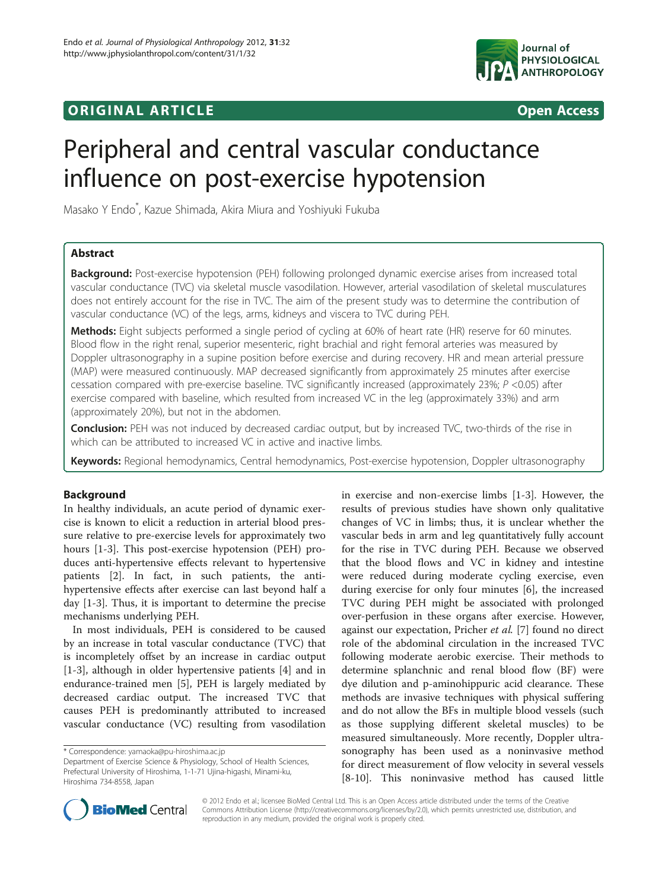## original and the open Access of the Open Access of the Open Access of the Open Access of the Open Access of the Open Access of the Open Access of the Open Access of the Open Access of the Open Access of the Open Access of



# Peripheral and central vascular conductance influence on post-exercise hypotension

Masako Y Endo\* , Kazue Shimada, Akira Miura and Yoshiyuki Fukuba

## Abstract

Background: Post-exercise hypotension (PEH) following prolonged dynamic exercise arises from increased total vascular conductance (TVC) via skeletal muscle vasodilation. However, arterial vasodilation of skeletal musculatures does not entirely account for the rise in TVC. The aim of the present study was to determine the contribution of vascular conductance (VC) of the legs, arms, kidneys and viscera to TVC during PEH.

Methods: Eight subjects performed a single period of cycling at 60% of heart rate (HR) reserve for 60 minutes. Blood flow in the right renal, superior mesenteric, right brachial and right femoral arteries was measured by Doppler ultrasonography in a supine position before exercise and during recovery. HR and mean arterial pressure (MAP) were measured continuously. MAP decreased significantly from approximately 25 minutes after exercise cessation compared with pre-exercise baseline. TVC significantly increased (approximately 23%; P <0.05) after exercise compared with baseline, which resulted from increased VC in the leg (approximately 33%) and arm (approximately 20%), but not in the abdomen.

Conclusion: PEH was not induced by decreased cardiac output, but by increased TVC, two-thirds of the rise in which can be attributed to increased VC in active and inactive limbs.

Keywords: Regional hemodynamics, Central hemodynamics, Post-exercise hypotension, Doppler ultrasonography

#### Background

In healthy individuals, an acute period of dynamic exercise is known to elicit a reduction in arterial blood pressure relative to pre-exercise levels for approximately two hours [\[1](#page-5-0)-[3\]](#page-5-0). This post-exercise hypotension (PEH) produces anti-hypertensive effects relevant to hypertensive patients [[2\]](#page-5-0). In fact, in such patients, the antihypertensive effects after exercise can last beyond half a day [\[1](#page-5-0)-[3\]](#page-5-0). Thus, it is important to determine the precise mechanisms underlying PEH.

In most individuals, PEH is considered to be caused by an increase in total vascular conductance (TVC) that is incompletely offset by an increase in cardiac output [[1-3](#page-5-0)], although in older hypertensive patients [\[4](#page-5-0)] and in endurance-trained men [\[5](#page-5-0)], PEH is largely mediated by decreased cardiac output. The increased TVC that causes PEH is predominantly attributed to increased vascular conductance (VC) resulting from vasodilation

in exercise and non-exercise limbs [[1-3](#page-5-0)]. However, the results of previous studies have shown only qualitative changes of VC in limbs; thus, it is unclear whether the vascular beds in arm and leg quantitatively fully account for the rise in TVC during PEH. Because we observed that the blood flows and VC in kidney and intestine were reduced during moderate cycling exercise, even during exercise for only four minutes [\[6](#page-5-0)], the increased TVC during PEH might be associated with prolonged over-perfusion in these organs after exercise. However, against our expectation, Pricher et al. [[7\]](#page-5-0) found no direct role of the abdominal circulation in the increased TVC following moderate aerobic exercise. Their methods to determine splanchnic and renal blood flow (BF) were dye dilution and p-aminohippuric acid clearance. These methods are invasive techniques with physical suffering and do not allow the BFs in multiple blood vessels (such as those supplying different skeletal muscles) to be measured simultaneously. More recently, Doppler ultrasonography has been used as a noninvasive method for direct measurement of flow velocity in several vessels [[8-10](#page-5-0)]. This noninvasive method has caused little



© 2012 Endo et al.; licensee BioMed Central Ltd. This is an Open Access article distributed under the terms of the Creative Commons Attribution License [\(http://creativecommons.org/licenses/by/2.0\)](http://creativecommons.org/licenses/by/2.0), which permits unrestricted use, distribution, and reproduction in any medium, provided the original work is properly cited.

<sup>\*</sup> Correspondence: [yamaoka@pu-hiroshima.ac.jp](mailto:yamaoka@pu-hiroshima.ac.jp)

Department of Exercise Science & Physiology, School of Health Sciences, Prefectural University of Hiroshima, 1-1-71 Ujina-higashi, Minami-ku, Hiroshima 734-8558, Japan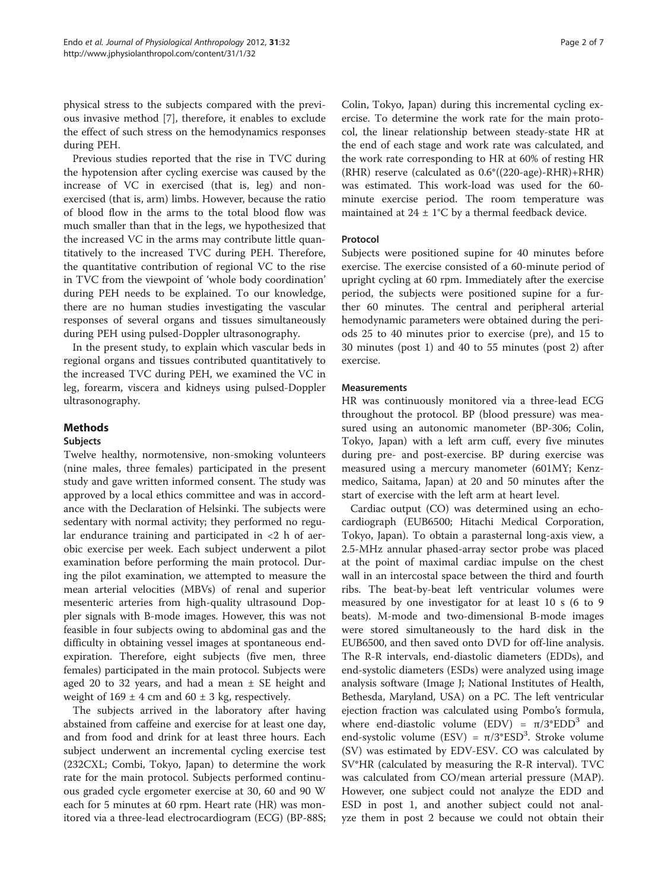physical stress to the subjects compared with the previous invasive method [\[7](#page-5-0)], therefore, it enables to exclude the effect of such stress on the hemodynamics responses during PEH.

Previous studies reported that the rise in TVC during the hypotension after cycling exercise was caused by the increase of VC in exercised (that is, leg) and nonexercised (that is, arm) limbs. However, because the ratio of blood flow in the arms to the total blood flow was much smaller than that in the legs, we hypothesized that the increased VC in the arms may contribute little quantitatively to the increased TVC during PEH. Therefore, the quantitative contribution of regional VC to the rise in TVC from the viewpoint of 'whole body coordination' during PEH needs to be explained. To our knowledge, there are no human studies investigating the vascular responses of several organs and tissues simultaneously during PEH using pulsed-Doppler ultrasonography.

In the present study, to explain which vascular beds in regional organs and tissues contributed quantitatively to the increased TVC during PEH, we examined the VC in leg, forearm, viscera and kidneys using pulsed-Doppler ultrasonography.

## Methods

#### Subjects

Twelve healthy, normotensive, non-smoking volunteers (nine males, three females) participated in the present study and gave written informed consent. The study was approved by a local ethics committee and was in accordance with the Declaration of Helsinki. The subjects were sedentary with normal activity; they performed no regular endurance training and participated in <2 h of aerobic exercise per week. Each subject underwent a pilot examination before performing the main protocol. During the pilot examination, we attempted to measure the mean arterial velocities (MBVs) of renal and superior mesenteric arteries from high-quality ultrasound Doppler signals with B-mode images. However, this was not feasible in four subjects owing to abdominal gas and the difficulty in obtaining vessel images at spontaneous endexpiration. Therefore, eight subjects (five men, three females) participated in the main protocol. Subjects were aged 20 to 32 years, and had a mean  $\pm$  SE height and weight of  $169 \pm 4$  cm and  $60 \pm 3$  kg, respectively.

The subjects arrived in the laboratory after having abstained from caffeine and exercise for at least one day, and from food and drink for at least three hours. Each subject underwent an incremental cycling exercise test (232CXL; Combi, Tokyo, Japan) to determine the work rate for the main protocol. Subjects performed continuous graded cycle ergometer exercise at 30, 60 and 90 W each for 5 minutes at 60 rpm. Heart rate (HR) was monitored via a three-lead electrocardiogram (ECG) (BP-88S; Colin, Tokyo, Japan) during this incremental cycling exercise. To determine the work rate for the main protocol, the linear relationship between steady-state HR at the end of each stage and work rate was calculated, and the work rate corresponding to HR at 60% of resting HR (RHR) reserve (calculated as 0.6\*((220-age)-RHR)+RHR) was estimated. This work-load was used for the 60 minute exercise period. The room temperature was maintained at  $24 \pm 1$ °C by a thermal feedback device.

#### Protocol

Subjects were positioned supine for 40 minutes before exercise. The exercise consisted of a 60-minute period of upright cycling at 60 rpm. Immediately after the exercise period, the subjects were positioned supine for a further 60 minutes. The central and peripheral arterial hemodynamic parameters were obtained during the periods 25 to 40 minutes prior to exercise (pre), and 15 to 30 minutes (post 1) and 40 to 55 minutes (post 2) after exercise.

#### **Measurements**

HR was continuously monitored via a three-lead ECG throughout the protocol. BP (blood pressure) was measured using an autonomic manometer (BP-306; Colin, Tokyo, Japan) with a left arm cuff, every five minutes during pre- and post-exercise. BP during exercise was measured using a mercury manometer (601MY; Kenzmedico, Saitama, Japan) at 20 and 50 minutes after the start of exercise with the left arm at heart level.

Cardiac output (CO) was determined using an echocardiograph (EUB6500; Hitachi Medical Corporation, Tokyo, Japan). To obtain a parasternal long-axis view, a 2.5-MHz annular phased-array sector probe was placed at the point of maximal cardiac impulse on the chest wall in an intercostal space between the third and fourth ribs. The beat-by-beat left ventricular volumes were measured by one investigator for at least 10 s (6 to 9 beats). M-mode and two-dimensional B-mode images were stored simultaneously to the hard disk in the EUB6500, and then saved onto DVD for off-line analysis. The R-R intervals, end-diastolic diameters (EDDs), and end-systolic diameters (ESDs) were analyzed using image analysis software (Image J; National Institutes of Health, Bethesda, Maryland, USA) on a PC. The left ventricular ejection fraction was calculated using Pombo's formula, where end-diastolic volume (EDV) =  $\pi/3*EDD^3$  and end-systolic volume (ESV) =  $\pi/3*$ ESD<sup>3</sup>. Stroke volume (SV) was estimated by EDV-ESV. CO was calculated by SV\*HR (calculated by measuring the R-R interval). TVC was calculated from CO/mean arterial pressure (MAP). However, one subject could not analyze the EDD and ESD in post 1, and another subject could not analyze them in post 2 because we could not obtain their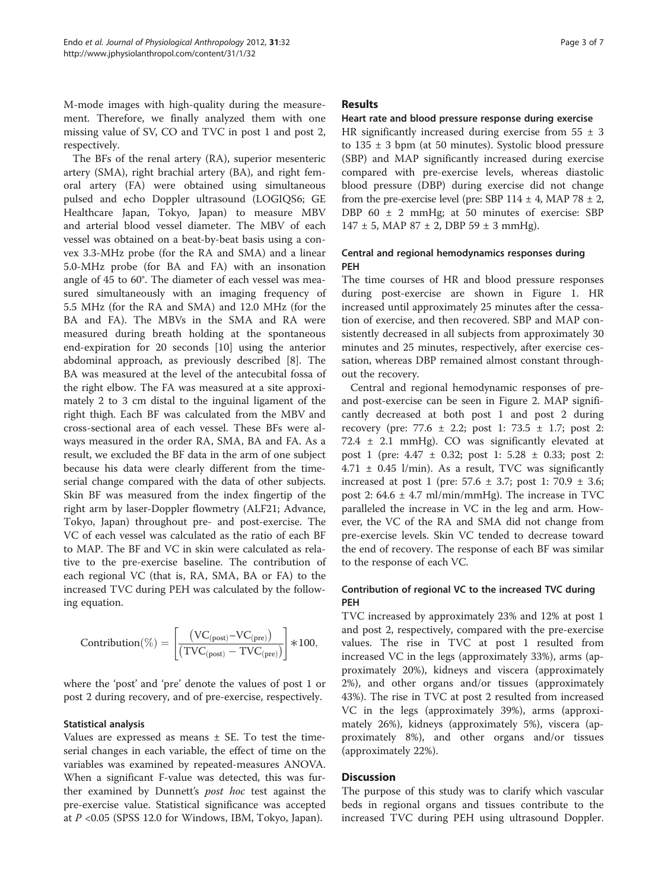M-mode images with high-quality during the measurement. Therefore, we finally analyzed them with one missing value of SV, CO and TVC in post 1 and post 2, respectively.

The BFs of the renal artery (RA), superior mesenteric artery (SMA), right brachial artery (BA), and right femoral artery (FA) were obtained using simultaneous pulsed and echo Doppler ultrasound (LOGIQS6; GE Healthcare Japan, Tokyo, Japan) to measure MBV and arterial blood vessel diameter. The MBV of each vessel was obtained on a beat-by-beat basis using a convex 3.3-MHz probe (for the RA and SMA) and a linear 5.0-MHz probe (for BA and FA) with an insonation angle of 45 to 60°. The diameter of each vessel was measured simultaneously with an imaging frequency of 5.5 MHz (for the RA and SMA) and 12.0 MHz (for the BA and FA). The MBVs in the SMA and RA were measured during breath holding at the spontaneous end-expiration for 20 seconds [[10](#page-5-0)] using the anterior abdominal approach, as previously described [[8\]](#page-5-0). The BA was measured at the level of the antecubital fossa of the right elbow. The FA was measured at a site approximately 2 to 3 cm distal to the inguinal ligament of the right thigh. Each BF was calculated from the MBV and cross-sectional area of each vessel. These BFs were always measured in the order RA, SMA, BA and FA. As a result, we excluded the BF data in the arm of one subject because his data were clearly different from the timeserial change compared with the data of other subjects. Skin BF was measured from the index fingertip of the right arm by laser-Doppler flowmetry (ALF21; Advance, Tokyo, Japan) throughout pre- and post-exercise. The VC of each vessel was calculated as the ratio of each BF to MAP. The BF and VC in skin were calculated as relative to the pre-exercise baseline. The contribution of each regional VC (that is, RA, SMA, BA or FA) to the increased TVC during PEH was calculated by the following equation.

$$
\text{Contribution}(\%) = \left[\!\frac{\left(\text{VC}_{\text{(post)}}\!-\!\text{VC}_{\text{(pre)}}\right)}{\left(\text{TVC}_{\text{(post)}}-\text{TVC}_{\text{(pre)}}\right)}\!\right]\!*\!100,
$$

where the 'post' and 'pre' denote the values of post 1 or post 2 during recovery, and of pre-exercise, respectively.

#### Statistical analysis

Values are expressed as means  $\pm$  SE. To test the timeserial changes in each variable, the effect of time on the variables was examined by repeated-measures ANOVA. When a significant F-value was detected, this was further examined by Dunnett's post hoc test against the pre-exercise value. Statistical significance was accepted at  $P < 0.05$  (SPSS 12.0 for Windows, IBM, Tokyo, Japan).

#### Results

### Heart rate and blood pressure response during exercise

HR significantly increased during exercise from  $55 \pm 3$ to  $135 \pm 3$  bpm (at 50 minutes). Systolic blood pressure (SBP) and MAP significantly increased during exercise compared with pre-exercise levels, whereas diastolic blood pressure (DBP) during exercise did not change from the pre-exercise level (pre: SBP  $114 \pm 4$ , MAP 78  $\pm 2$ , DBP 60 ± 2 mmHg; at 50 minutes of exercise: SBP  $147 \pm 5$ , MAP 87  $\pm 2$ , DBP 59  $\pm 3$  mmHg).

## Central and regional hemodynamics responses during PEH

The time courses of HR and blood pressure responses during post-exercise are shown in Figure [1](#page-3-0). HR increased until approximately 25 minutes after the cessation of exercise, and then recovered. SBP and MAP consistently decreased in all subjects from approximately 30 minutes and 25 minutes, respectively, after exercise cessation, whereas DBP remained almost constant throughout the recovery.

Central and regional hemodynamic responses of preand post-exercise can be seen in Figure [2](#page-4-0). MAP significantly decreased at both post 1 and post 2 during recovery (pre: 77.6 ± 2.2; post 1: 73.5 ± 1.7; post 2: 72.4  $\pm$  2.1 mmHg). CO was significantly elevated at post 1 (pre: 4.47 ± 0.32; post 1: 5.28 ± 0.33; post 2:  $4.71 \pm 0.45$  l/min). As a result, TVC was significantly increased at post 1 (pre:  $57.6 \pm 3.7$ ; post 1:  $70.9 \pm 3.6$ ; post 2:  $64.6 \pm 4.7 \text{ ml/min/mmHg}$ . The increase in TVC paralleled the increase in VC in the leg and arm. However, the VC of the RA and SMA did not change from pre-exercise levels. Skin VC tended to decrease toward the end of recovery. The response of each BF was similar to the response of each VC.

## Contribution of regional VC to the increased TVC during PEH

TVC increased by approximately 23% and 12% at post 1 and post 2, respectively, compared with the pre-exercise values. The rise in TVC at post 1 resulted from increased VC in the legs (approximately 33%), arms (approximately 20%), kidneys and viscera (approximately 2%), and other organs and/or tissues (approximately 43%). The rise in TVC at post 2 resulted from increased VC in the legs (approximately 39%), arms (approximately 26%), kidneys (approximately 5%), viscera (approximately 8%), and other organs and/or tissues (approximately 22%).

## **Discussion**

The purpose of this study was to clarify which vascular beds in regional organs and tissues contribute to the increased TVC during PEH using ultrasound Doppler.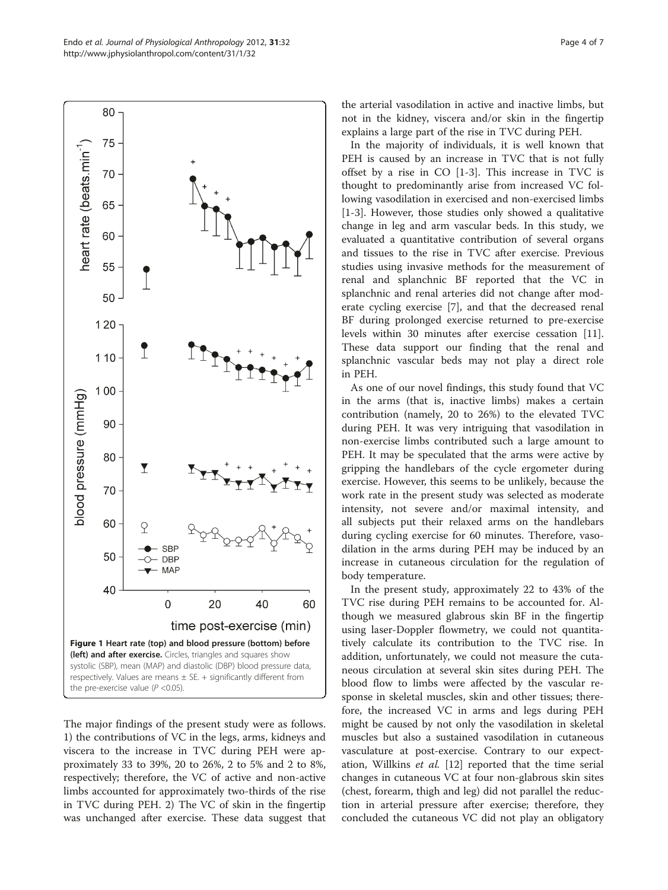The major findings of the present study were as follows. 1) the contributions of VC in the legs, arms, kidneys and viscera to the increase in TVC during PEH were approximately 33 to 39%, 20 to 26%, 2 to 5% and 2 to 8%, respectively; therefore, the VC of active and non-active limbs accounted for approximately two-thirds of the rise in TVC during PEH. 2) The VC of skin in the fingertip was unchanged after exercise. These data suggest that in PEH. As one of our novel findings, this study found that VC in the arms (that is, inactive limbs) makes a certain contribution (namely, 20 to 26%) to the elevated TVC during PEH. It was very intriguing that vasodilation in non-exercise limbs contributed such a large amount to PEH. It may be speculated that the arms were active by gripping the handlebars of the cycle ergometer during exercise. However, this seems to be unlikely, because the work rate in the present study was selected as moderate intensity, not severe and/or maximal intensity, and all subjects put their relaxed arms on the handlebars during cycling exercise for 60 minutes. Therefore, vasodilation in the arms during PEH may be induced by an increase in cutaneous circulation for the regulation of body temperature.

In the present study, approximately 22 to 43% of the TVC rise during PEH remains to be accounted for. Although we measured glabrous skin BF in the fingertip using laser-Doppler flowmetry, we could not quantitatively calculate its contribution to the TVC rise. In addition, unfortunately, we could not measure the cutaneous circulation at several skin sites during PEH. The blood flow to limbs were affected by the vascular response in skeletal muscles, skin and other tissues; therefore, the increased VC in arms and legs during PEH might be caused by not only the vasodilation in skeletal muscles but also a sustained vasodilation in cutaneous vasculature at post-exercise. Contrary to our expect-ation, Willkins et al. [\[12\]](#page-5-0) reported that the time serial changes in cutaneous VC at four non-glabrous skin sites (chest, forearm, thigh and leg) did not parallel the reduc-

tion in arterial pressure after exercise; therefore, they concluded the cutaneous VC did not play an obligatory

the arterial vasodilation in active and inactive limbs, but not in the kidney, viscera and/or skin in the fingertip explains a large part of the rise in TVC during PEH.

In the majority of individuals, it is well known that PEH is caused by an increase in TVC that is not fully offset by a rise in CO [[1-3](#page-5-0)]. This increase in TVC is thought to predominantly arise from increased VC following vasodilation in exercised and non-exercised limbs [[1-3](#page-5-0)]. However, those studies only showed a qualitative change in leg and arm vascular beds. In this study, we evaluated a quantitative contribution of several organs and tissues to the rise in TVC after exercise. Previous studies using invasive methods for the measurement of renal and splanchnic BF reported that the VC in splanchnic and renal arteries did not change after moderate cycling exercise [[7\]](#page-5-0), and that the decreased renal BF during prolonged exercise returned to pre-exercise levels within 30 minutes after exercise cessation [\[11](#page-5-0)]. These data support our finding that the renal and splanchnic vascular beds may not play a direct role

<span id="page-3-0"></span>Endo et al. Journal of Physiological Anthropology 2012, 31:32 http://www.jphysiolanthropol.com/content/31/1/32



80

75

70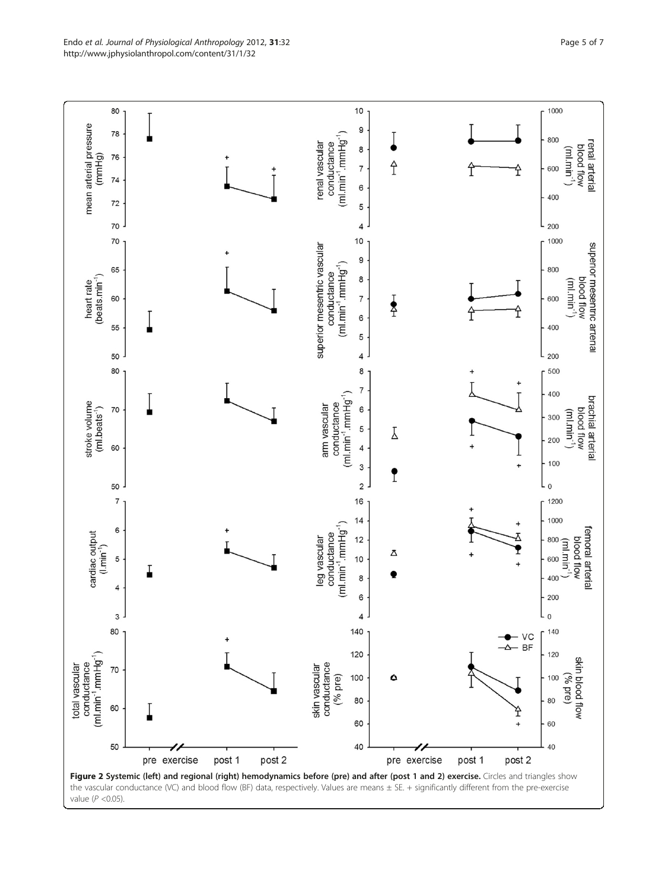<span id="page-4-0"></span>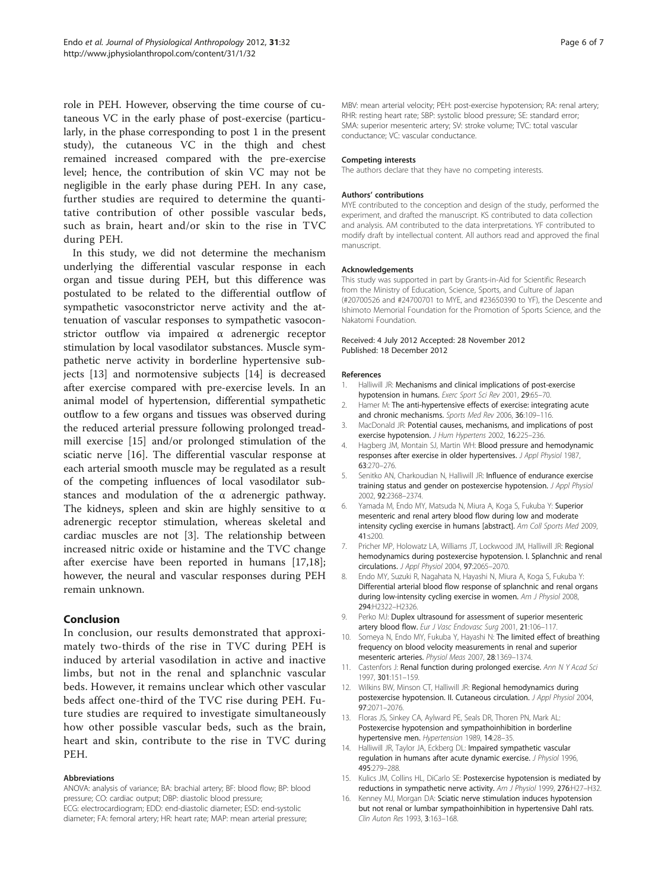<span id="page-5-0"></span>role in PEH. However, observing the time course of cutaneous VC in the early phase of post-exercise (particularly, in the phase corresponding to post 1 in the present study), the cutaneous VC in the thigh and chest remained increased compared with the pre-exercise level; hence, the contribution of skin VC may not be negligible in the early phase during PEH. In any case, further studies are required to determine the quantitative contribution of other possible vascular beds, such as brain, heart and/or skin to the rise in TVC during PEH.

In this study, we did not determine the mechanism underlying the differential vascular response in each organ and tissue during PEH, but this difference was postulated to be related to the differential outflow of sympathetic vasoconstrictor nerve activity and the attenuation of vascular responses to sympathetic vasoconstrictor outflow via impaired α adrenergic receptor stimulation by local vasodilator substances. Muscle sympathetic nerve activity in borderline hypertensive subjects [13] and normotensive subjects [14] is decreased after exercise compared with pre-exercise levels. In an animal model of hypertension, differential sympathetic outflow to a few organs and tissues was observed during the reduced arterial pressure following prolonged treadmill exercise [15] and/or prolonged stimulation of the sciatic nerve [16]. The differential vascular response at each arterial smooth muscle may be regulated as a result of the competing influences of local vasodilator substances and modulation of the α adrenergic pathway. The kidneys, spleen and skin are highly sensitive to  $\alpha$ adrenergic receptor stimulation, whereas skeletal and cardiac muscles are not [3]. The relationship between increased nitric oxide or histamine and the TVC change after exercise have been reported in humans [\[17,18](#page-6-0)]; however, the neural and vascular responses during PEH remain unknown.

#### Conclusion

In conclusion, our results demonstrated that approximately two-thirds of the rise in TVC during PEH is induced by arterial vasodilation in active and inactive limbs, but not in the renal and splanchnic vascular beds. However, it remains unclear which other vascular beds affect one-third of the TVC rise during PEH. Future studies are required to investigate simultaneously how other possible vascular beds, such as the brain, heart and skin, contribute to the rise in TVC during PEH.

#### Abbreviations

ANOVA: analysis of variance; BA: brachial artery; BF: blood flow; BP: blood pressure; CO: cardiac output; DBP: diastolic blood pressure; ECG: electrocardiogram; EDD: end-diastolic diameter; ESD: end-systolic diameter; FA: femoral artery; HR: heart rate; MAP: mean arterial pressure;

MBV: mean arterial velocity; PEH: post-exercise hypotension; RA: renal artery; RHR: resting heart rate; SBP: systolic blood pressure; SE: standard error; SMA: superior mesenteric artery; SV: stroke volume; TVC: total vascular conductance; VC: vascular conductance.

#### Competing interests

The authors declare that they have no competing interests.

#### Authors' contributions

MYE contributed to the conception and design of the study, performed the experiment, and drafted the manuscript. KS contributed to data collection and analysis. AM contributed to the data interpretations. YF contributed to modify draft by intellectual content. All authors read and approved the final manuscript.

#### Acknowledgements

This study was supported in part by Grants-in-Aid for Scientific Research from the Ministry of Education, Science, Sports, and Culture of Japan (#20700526 and #24700701 to MYE, and #23650390 to YF), the Descente and Ishimoto Memorial Foundation for the Promotion of Sports Science, and the Nakatomi Foundation.

#### Received: 4 July 2012 Accepted: 28 November 2012 Published: 18 December 2012

#### References

- 1. Halliwill JR: Mechanisms and clinical implications of post-exercise hypotension in humans. Exerc Sport Sci Rev 2001, 29:65–70.
- 2. Hamer M: The anti-hypertensive effects of exercise: integrating acute and chronic mechanisms. Sports Med Rev 2006, 36:109–116.
- 3. MacDonald JR: Potential causes, mechanisms, and implications of post exercise hypotension. J Hum Hypertens 2002, 16:225–236.
- 4. Hagberg JM, Montain SJ, Martin WH: Blood pressure and hemodynamic responses after exercise in older hypertensives. J Appl Physiol 1987, 63:270–276.
- 5. Senitko AN, Charkoudian N, Halliwill JR: Influence of endurance exercise training status and gender on postexercise hypotension. J Appl Physiol 2002, 92:2368–2374.
- 6. Yamada M, Endo MY, Matsuda N, Miura A, Koga S, Fukuba Y: Superior mesenteric and renal artery blood flow during low and moderate intensity cycling exercise in humans [abstract]. Am Coll Sports Med 2009, 41:s200.
- 7. Pricher MP, Holowatz LA, Williams JT, Lockwood JM, Halliwill JR: Regional hemodynamics during postexercise hypotension. I. Splanchnic and renal circulations. J Appl Physiol 2004, 97:2065–2070.
- 8. Endo MY, Suzuki R, Nagahata N, Hayashi N, Miura A, Koga S, Fukuba Y: Differential arterial blood flow response of splanchnic and renal organs during low-intensity cycling exercise in women. Am J Physiol 2008, 294:H2322–H2326.
- 9. Perko MJ: Duplex ultrasound for assessment of superior mesenteric artery blood flow. Eur J Vasc Endovasc Surg 2001, 21:106-117
- 10. Someya N, Endo MY, Fukuba Y, Hayashi N: The limited effect of breathing frequency on blood velocity measurements in renal and superior mesenteric arteries. Physiol Meas 2007, 28:1369–1374.
- 11. Castenfors J: Renal function during prolonged exercise. Ann N Y Acad Sci 1997, 301:151–159.
- 12. Wilkins BW, Minson CT, Halliwill JR: Regional hemodynamics during postexercise hypotension. II. Cutaneous circulation. J Appl Physiol 2004, 97:2071–2076.
- 13. Floras JS, Sinkey CA, Aylward PE, Seals DR, Thoren PN, Mark AL: Postexercise hypotension and sympathoinhibition in borderline hypertensive men. Hypertension 1989, 14:28–35.
- 14. Halliwill JR, Taylor JA, Eckberg DL: Impaired sympathetic vascular regulation in humans after acute dynamic exercise. J Physiol 1996, 495:279–288.
- 15. Kulics JM, Collins HL, DiCarlo SE: Postexercise hypotension is mediated by reductions in sympathetic nerve activity. Am J Physiol 1999, 276:H27–H32.
- 16. Kenney MJ, Morgan DA: Sciatic nerve stimulation induces hypotension but not renal or lumbar sympathoinhibition in hypertensive Dahl rats. Clin Auton Res 1993, 3:163–168.